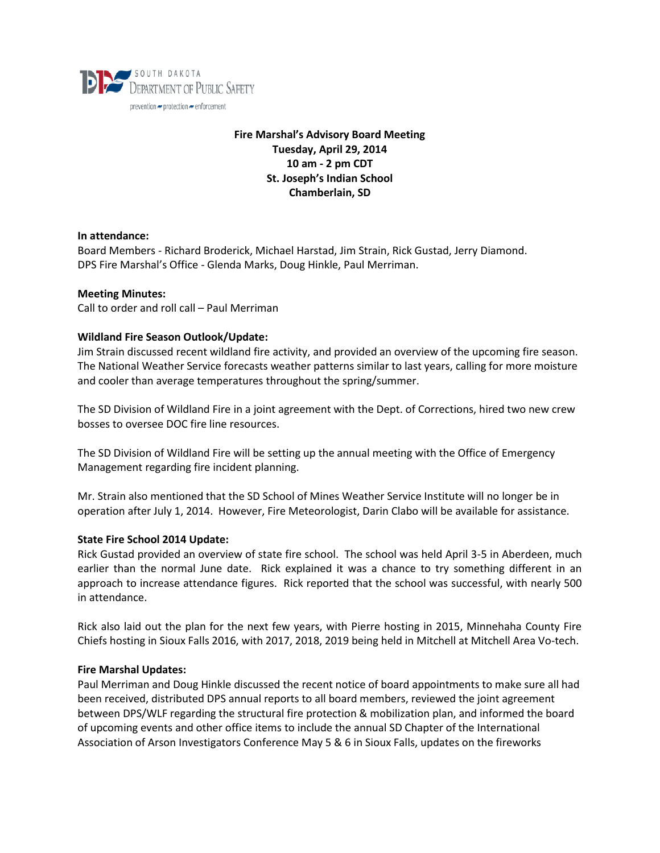

# **Fire Marshal's Advisory Board Meeting Tuesday, April 29, 2014 10 am - 2 pm CDT St. Joseph's Indian School Chamberlain, SD**

## **In attendance:**

Board Members - Richard Broderick, Michael Harstad, Jim Strain, Rick Gustad, Jerry Diamond. DPS Fire Marshal's Office - Glenda Marks, Doug Hinkle, Paul Merriman.

#### **Meeting Minutes:**

Call to order and roll call – Paul Merriman

# **Wildland Fire Season Outlook/Update:**

Jim Strain discussed recent wildland fire activity, and provided an overview of the upcoming fire season. The National Weather Service forecasts weather patterns similar to last years, calling for more moisture and cooler than average temperatures throughout the spring/summer.

The SD Division of Wildland Fire in a joint agreement with the Dept. of Corrections, hired two new crew bosses to oversee DOC fire line resources.

The SD Division of Wildland Fire will be setting up the annual meeting with the Office of Emergency Management regarding fire incident planning.

Mr. Strain also mentioned that the SD School of Mines Weather Service Institute will no longer be in operation after July 1, 2014. However, Fire Meteorologist, Darin Clabo will be available for assistance.

# **State Fire School 2014 Update:**

Rick Gustad provided an overview of state fire school. The school was held April 3-5 in Aberdeen, much earlier than the normal June date. Rick explained it was a chance to try something different in an approach to increase attendance figures. Rick reported that the school was successful, with nearly 500 in attendance.

Rick also laid out the plan for the next few years, with Pierre hosting in 2015, Minnehaha County Fire Chiefs hosting in Sioux Falls 2016, with 2017, 2018, 2019 being held in Mitchell at Mitchell Area Vo-tech.

#### **Fire Marshal Updates:**

Paul Merriman and Doug Hinkle discussed the recent notice of board appointments to make sure all had been received, distributed DPS annual reports to all board members, reviewed the joint agreement between DPS/WLF regarding the structural fire protection & mobilization plan, and informed the board of upcoming events and other office items to include the annual SD Chapter of the International Association of Arson Investigators Conference May 5 & 6 in Sioux Falls, updates on the fireworks